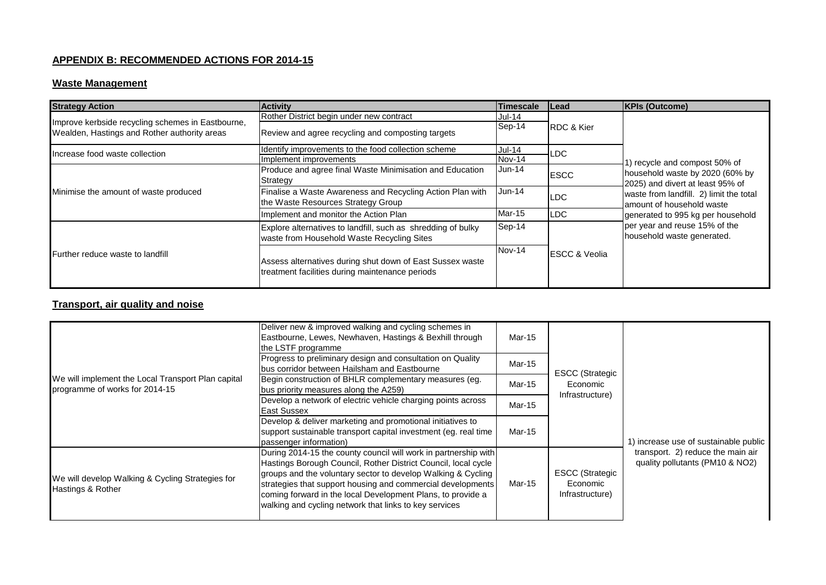### **APPENDIX B: RECOMMENDED ACTIONS FOR 2014-15**

#### **Waste Management**

| <b>Strategy Action</b>                                                                            | <b>Activity</b>                                                                                              | <b>Timescale</b> | <b>ILead</b>             | <b>KPIs (Outcome)</b>                                                                                                                          |
|---------------------------------------------------------------------------------------------------|--------------------------------------------------------------------------------------------------------------|------------------|--------------------------|------------------------------------------------------------------------------------------------------------------------------------------------|
|                                                                                                   | Rother District begin under new contract                                                                     | $Jul-14$         |                          |                                                                                                                                                |
| Improve kerbside recycling schemes in Eastbourne,<br>Wealden, Hastings and Rother authority areas | Review and agree recycling and composting targets                                                            | Sep-14           | <b>RDC &amp; Kier</b>    |                                                                                                                                                |
| Increase food waste collection                                                                    | Identify improvements to the food collection scheme                                                          | <b>Jul-14</b>    | LDC.                     | ) recycle and compost 50% of                                                                                                                   |
|                                                                                                   | Implement improvements                                                                                       | Nov-14           |                          |                                                                                                                                                |
|                                                                                                   | Produce and agree final Waste Minimisation and Education                                                     | $Jun-14$         | <b>ESCC</b>              | household waste by 2020 (60% by                                                                                                                |
|                                                                                                   | Strategy                                                                                                     |                  |                          | 2025) and divert at least 95% of<br>waste from landfill. 2) limit the total<br>lamount of household waste<br>generated to 995 kg per household |
| Minimise the amount of waste produced                                                             | Finalise a Waste Awareness and Recycling Action Plan with<br>the Waste Resources Strategy Group              | $Jun-14$         | LDC                      |                                                                                                                                                |
|                                                                                                   | Implement and monitor the Action Plan                                                                        | Mar-15           | <b>LDC</b>               |                                                                                                                                                |
|                                                                                                   | Explore alternatives to landfill, such as shredding of bulky<br>waste from Household Waste Recycling Sites   | Sep-14           |                          | per year and reuse 15% of the<br>household waste generated.                                                                                    |
| Further reduce waste to landfill                                                                  | Assess alternatives during shut down of East Sussex waste<br>treatment facilities during maintenance periods | Nov-14           | <b>ESCC &amp; Veolia</b> |                                                                                                                                                |

# **Transport, air quality and noise**

| We will implement the Local Transport Plan capital<br>programme of works for 2014-15 | Deliver new & improved walking and cycling schemes in<br>Eastbourne, Lewes, Newhaven, Hastings & Bexhill through<br>the LSTF programme                                                                                                                                                                                                                                                    | Mar-15 |                                                       |                                                                      |
|--------------------------------------------------------------------------------------|-------------------------------------------------------------------------------------------------------------------------------------------------------------------------------------------------------------------------------------------------------------------------------------------------------------------------------------------------------------------------------------------|--------|-------------------------------------------------------|----------------------------------------------------------------------|
|                                                                                      | Progress to preliminary design and consultation on Quality<br>bus corridor between Hailsham and Eastbourne                                                                                                                                                                                                                                                                                | Mar-15 | <b>ESCC (Strategic</b>                                |                                                                      |
|                                                                                      | Begin construction of BHLR complementary measures (eg.<br>bus priority measures along the A259)                                                                                                                                                                                                                                                                                           | Mar-15 | Economic<br>Infrastructure)                           |                                                                      |
|                                                                                      | Develop a network of electric vehicle charging points across<br>East Sussex                                                                                                                                                                                                                                                                                                               | Mar-15 |                                                       | 1) increase use of sustainable public                                |
|                                                                                      | Develop & deliver marketing and promotional initiatives to<br>support sustainable transport capital investment (eg. real time<br>passenger information)                                                                                                                                                                                                                                   | Mar-15 |                                                       |                                                                      |
| We will develop Walking & Cycling Strategies for<br>Hastings & Rother                | During 2014-15 the county council will work in partnership with<br>Hastings Borough Council, Rother District Council, local cycle<br>groups and the voluntary sector to develop Walking & Cycling<br>strategies that support housing and commercial developments<br>coming forward in the local Development Plans, to provide a<br>walking and cycling network that links to key services | Mar-15 | <b>ESCC (Strategic</b><br>Economic<br>Infrastructure) | transport. 2) reduce the main air<br>quality pollutants (PM10 & NO2) |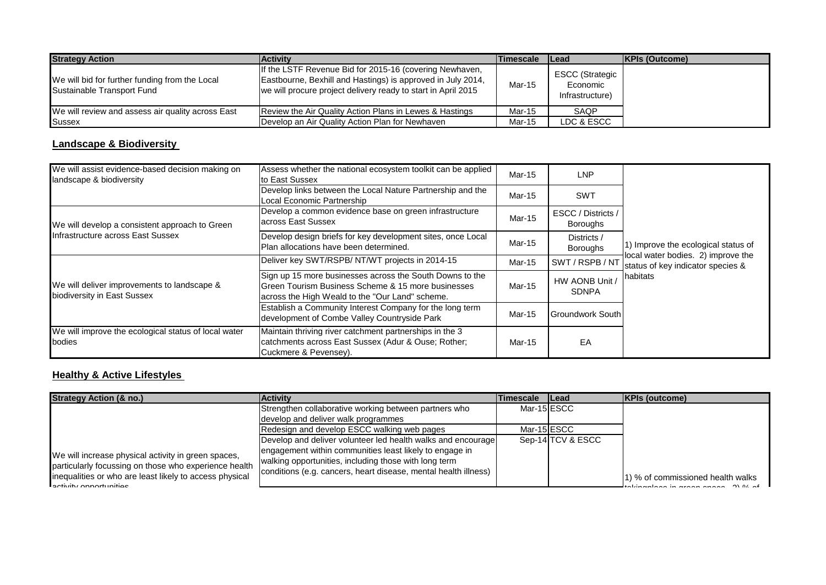| <b>Strategy Action</b>                                                       | <b>Activity</b>                                                                                                                                                                         | <b>Timescale</b> | <b>ILead</b>                                          | <b>KPIs (Outcome)</b> |
|------------------------------------------------------------------------------|-----------------------------------------------------------------------------------------------------------------------------------------------------------------------------------------|------------------|-------------------------------------------------------|-----------------------|
| We will bid for further funding from the Local<br>Sustainable Transport Fund | If the LSTF Revenue Bid for 2015-16 (covering Newhaven,<br>Eastbourne, Bexhill and Hastings) is approved in July 2014,<br>we will procure project delivery ready to start in April 2015 | Mar-15           | <b>ESCC (Strategic</b><br>Economic<br>Infrastructure) |                       |
| We will review and assess air quality across East                            | Review the Air Quality Action Plans in Lewes & Hastings                                                                                                                                 | Mar-15           | SAQP                                                  |                       |
| Sussex                                                                       | Develop an Air Quality Action Plan for Newhaven                                                                                                                                         | Mar-15           | LDC & ESCC                                            |                       |

## **Landscape & Biodiversity**

| We will assist evidence-based decision making on<br>landscape & biodiversity        | Assess whether the national ecosystem toolkit can be applied<br>to East Sussex                                                                                                | Mar-15 | <b>LNP</b>                            |                                                                                                                            |
|-------------------------------------------------------------------------------------|-------------------------------------------------------------------------------------------------------------------------------------------------------------------------------|--------|---------------------------------------|----------------------------------------------------------------------------------------------------------------------------|
|                                                                                     | Develop links between the Local Nature Partnership and the<br>Local Economic Partnership                                                                                      | Mar-15 | <b>SWT</b>                            |                                                                                                                            |
| We will develop a consistent approach to Green<br>Infrastructure across East Sussex | Develop a common evidence base on green infrastructure<br>across East Sussex                                                                                                  | Mar-15 | ESCC / Districts /<br><b>Boroughs</b> | 1) Improve the ecological status of<br>local water bodies. 2) improve the<br>status of key indicator species &<br>habitats |
|                                                                                     | Develop design briefs for key development sites, once Local<br>Plan allocations have been determined.                                                                         | Mar-15 | Districts /<br><b>Boroughs</b>        |                                                                                                                            |
| We will deliver improvements to landscape &<br>biodiversity in East Sussex          | Deliver key SWT/RSPB/ NT/WT projects in 2014-15                                                                                                                               | Mar-15 | SWT / RSPB / NT                       |                                                                                                                            |
|                                                                                     | Sign up 15 more businesses across the South Downs to the<br><b>IGreen Tourism Business Scheme &amp; 15 more businesses</b><br>across the High Weald to the "Our Land" scheme. | Mar-15 | HW AONB Unit /<br><b>SDNPA</b>        |                                                                                                                            |
|                                                                                     | Establish a Community Interest Company for the long term<br>development of Combe Valley Countryside Park                                                                      | Mar-15 | <b>Groundwork South</b>               |                                                                                                                            |
| We will improve the ecological status of local water<br>bodies                      | Maintain thriving river catchment partnerships in the 3<br>catchments across East Sussex (Adur & Ouse; Rother;<br>Cuckmere & Pevensey).                                       | Mar-15 | EA                                    |                                                                                                                            |

### **Healthy & Active Lifestyles**

| <b>Strategy Action (&amp; no.)</b>                                                                           | <b>Activity</b>                                                 | <b>Timescale Lead</b> |                   | <b>KPIs (outcome)</b>                         |
|--------------------------------------------------------------------------------------------------------------|-----------------------------------------------------------------|-----------------------|-------------------|-----------------------------------------------|
|                                                                                                              | Strengthen collaborative working between partners who           |                       | Mar-15 ESCC       |                                               |
|                                                                                                              | develop and deliver walk programmes                             |                       |                   |                                               |
|                                                                                                              | Redesign and develop ESCC walking web pages                     |                       | Mar-15 ESCC       |                                               |
|                                                                                                              | Develop and deliver volunteer led health walks and encourage    |                       | Sep-14 TCV & ESCC |                                               |
| We will increase physical activity in green spaces,<br>particularly focussing on those who experience health | engagement within communities least likely to engage in         |                       |                   |                                               |
|                                                                                                              | walking opportunities, including those with long term           |                       |                   |                                               |
| inequalities or who are least likely to access physical<br>$B_0$                                             | conditions (e.g. cancers, heart disease, mental health illness) |                       |                   | 1) % of commissioned health walks<br>$\alpha$ |